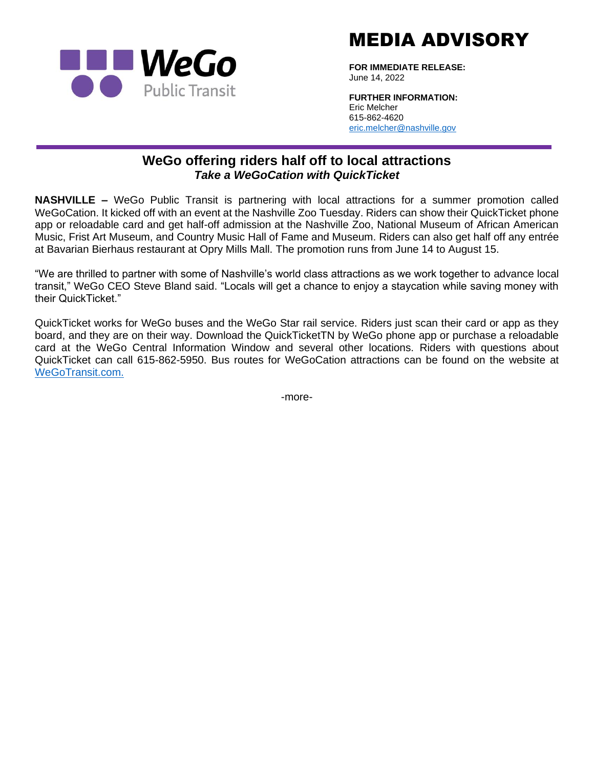

MEDIA ADVISORY

**FOR IMMEDIATE RELEASE:** June 14, 2022

**FURTHER INFORMATION:** Eric Melcher 615-862-4620 [eric.melcher@nashville.gov](mailto:eric.melcher@nashville.gov)

## **WeGo offering riders half off to local attractions** *Take a WeGoCation with QuickTicket*

**NASHVILLE –** WeGo Public Transit is partnering with local attractions for a summer promotion called WeGoCation. It kicked off with an event at the Nashville Zoo Tuesday. Riders can show their QuickTicket phone app or reloadable card and get half-off admission at the Nashville Zoo, National Museum of African American Music, Frist Art Museum, and Country Music Hall of Fame and Museum. Riders can also get half off any entrée at Bavarian Bierhaus restaurant at Opry Mills Mall. The promotion runs from June 14 to August 15.

"We are thrilled to partner with some of Nashville's world class attractions as we work together to advance local transit," WeGo CEO Steve Bland said. "Locals will get a chance to enjoy a staycation while saving money with their QuickTicket."

QuickTicket works for WeGo buses and the WeGo Star rail service. Riders just scan their card or app as they board, and they are on their way. Download the QuickTicketTN by WeGo phone app or purchase a reloadable card at the WeGo Central Information Window and several other locations. Riders with questions about QuickTicket can call 615-862-5950. Bus routes for WeGoCation attractions can be found on the website at [WeGoTransit.com.](https://www.wegotransit.com/)

-more-